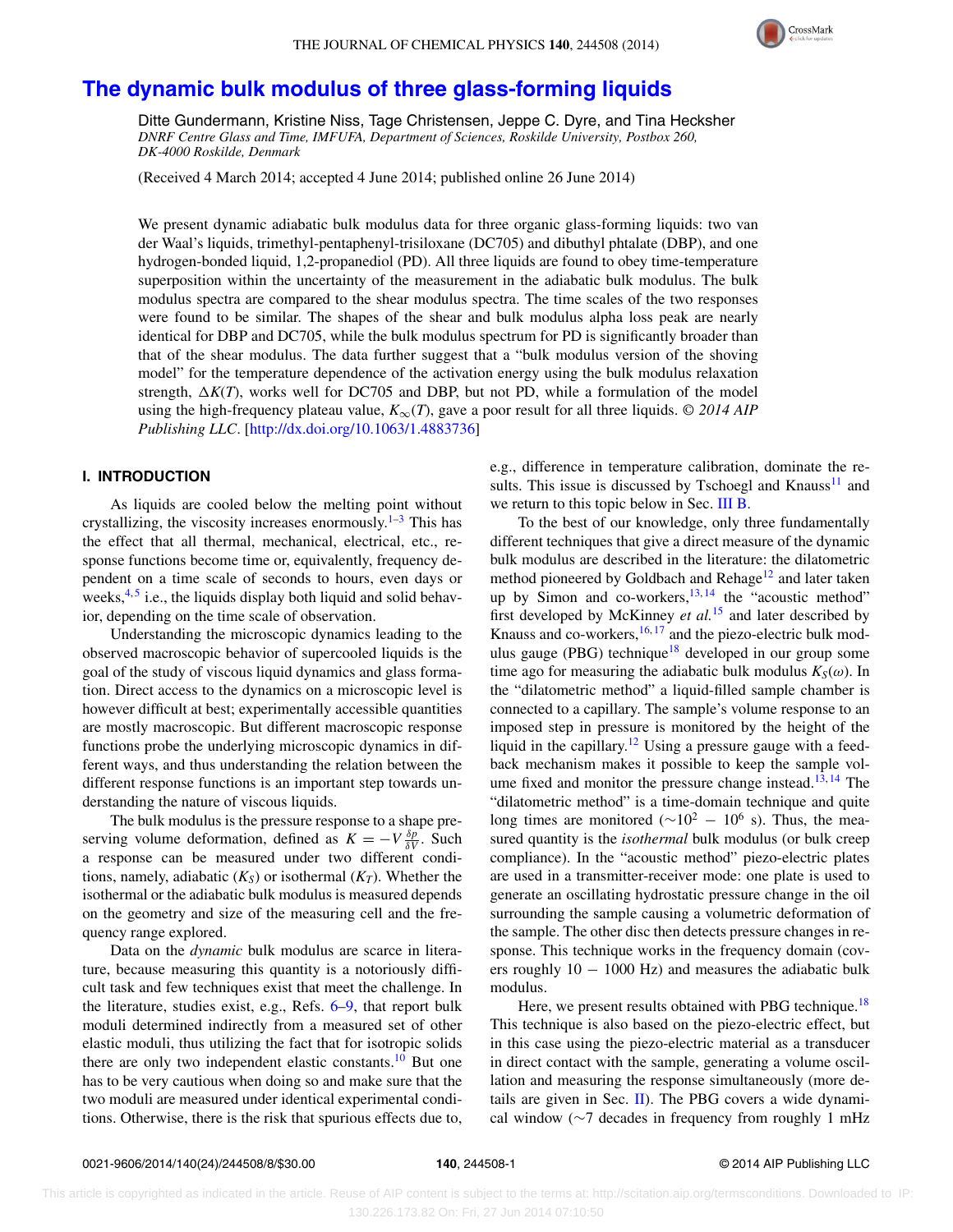

# **[The dynamic bulk modulus of three glass-forming liquids](http://dx.doi.org/10.1063/1.4883736)**

Ditte Gundermann, Kristine Niss, Tage Christensen, Jeppe C. Dyre, and Tina Hecksher *DNRF Centre Glass and Time, IMFUFA, Department of Sciences, Roskilde University, Postbox 260, DK-4000 Roskilde, Denmark*

(Received 4 March 2014; accepted 4 June 2014; published online 26 June 2014)

We present dynamic adiabatic bulk modulus data for three organic glass-forming liquids: two van der Waal's liquids, trimethyl-pentaphenyl-trisiloxane (DC705) and dibuthyl phtalate (DBP), and one hydrogen-bonded liquid, 1,2-propanediol (PD). All three liquids are found to obey time-temperature superposition within the uncertainty of the measurement in the adiabatic bulk modulus. The bulk modulus spectra are compared to the shear modulus spectra. The time scales of the two responses were found to be similar. The shapes of the shear and bulk modulus alpha loss peak are nearly identical for DBP and DC705, while the bulk modulus spectrum for PD is significantly broader than that of the shear modulus. The data further suggest that a "bulk modulus version of the shoving model" for the temperature dependence of the activation energy using the bulk modulus relaxation strength,  $\Delta K(T)$ , works well for DC705 and DBP, but not PD, while a formulation of the model using the high-frequency plateau value,  $K_\infty(T)$ , gave a poor result for all three liquids. *© 2014 AIP Publishing LLC*. [\[http://dx.doi.org/10.1063/1.4883736\]](http://dx.doi.org/10.1063/1.4883736)

## **I. INTRODUCTION**

As liquids are cooled below the melting point without crystallizing, the viscosity increases enormously.<sup>[1](#page-7-0)[–3](#page-7-1)</sup> This has the effect that all thermal, mechanical, electrical, etc., response functions become time or, equivalently, frequency dependent on a time scale of seconds to hours, even days or weeks, $4.5$  $4.5$  i.e., the liquids display both liquid and solid behavior, depending on the time scale of observation.

Understanding the microscopic dynamics leading to the observed macroscopic behavior of supercooled liquids is the goal of the study of viscous liquid dynamics and glass formation. Direct access to the dynamics on a microscopic level is however difficult at best; experimentally accessible quantities are mostly macroscopic. But different macroscopic response functions probe the underlying microscopic dynamics in different ways, and thus understanding the relation between the different response functions is an important step towards understanding the nature of viscous liquids.

The bulk modulus is the pressure response to a shape preserving volume deformation, defined as  $K = -V \frac{\delta p}{\delta V}$ . Such a response can be measured under two different conditions, namely, adiabatic  $(K_S)$  or isothermal  $(K_T)$ . Whether the isothermal or the adiabatic bulk modulus is measured depends on the geometry and size of the measuring cell and the frequency range explored.

Data on the *dynamic* bulk modulus are scarce in literature, because measuring this quantity is a notoriously difficult task and few techniques exist that meet the challenge. In the literature, studies exist, e.g., Refs. [6](#page-7-4)[–9,](#page-7-5) that report bulk moduli determined indirectly from a measured set of other elastic moduli, thus utilizing the fact that for isotropic solids there are only two independent elastic constants.<sup>10</sup> But one has to be very cautious when doing so and make sure that the two moduli are measured under identical experimental conditions. Otherwise, there is the risk that spurious effects due to, e.g., difference in temperature calibration, dominate the re-sults. This issue is discussed by Tschoegl and Knauss<sup>[11](#page-7-7)</sup> and we return to this topic below in Sec. [III B.](#page-3-0)

To the best of our knowledge, only three fundamentally different techniques that give a direct measure of the dynamic bulk modulus are described in the literature: the dilatometric method pioneered by Goldbach and Rehage<sup>12</sup> and later taken up by Simon and co-workers, $13, 14$  $13, 14$  the "acoustic method" first developed by McKinney *et al.*[15](#page-7-11) and later described by Knauss and co-workers,  $16, 17$  $16, 17$  and the piezo-electric bulk modulus gauge (PBG) technique<sup>18</sup> developed in our group some time ago for measuring the adiabatic bulk modulus  $K_S(\omega)$ . In the "dilatometric method" a liquid-filled sample chamber is connected to a capillary. The sample's volume response to an imposed step in pressure is monitored by the height of the liquid in the capillary.<sup>[12](#page-7-8)</sup> Using a pressure gauge with a feedback mechanism makes it possible to keep the sample vol-ume fixed and monitor the pressure change instead.<sup>[13,](#page-7-9)[14](#page-7-10)</sup> The "dilatometric method" is a time-domain technique and quite long times are monitored ( $∼10^2 - 10^6$  s). Thus, the measured quantity is the *isothermal* bulk modulus (or bulk creep compliance). In the "acoustic method" piezo-electric plates are used in a transmitter-receiver mode: one plate is used to generate an oscillating hydrostatic pressure change in the oil surrounding the sample causing a volumetric deformation of the sample. The other disc then detects pressure changes in response. This technique works in the frequency domain (covers roughly  $10 - 1000$  Hz) and measures the adiabatic bulk modulus.

Here, we present results obtained with PBG technique.<sup>[18](#page-7-14)</sup> This technique is also based on the piezo-electric effect, but in this case using the piezo-electric material as a transducer in direct contact with the sample, generating a volume oscillation and measuring the response simultaneously (more details are given in Sec.  $II$ ). The PBG covers a wide dynamical window (∼7 decades in frequency from roughly 1 mHz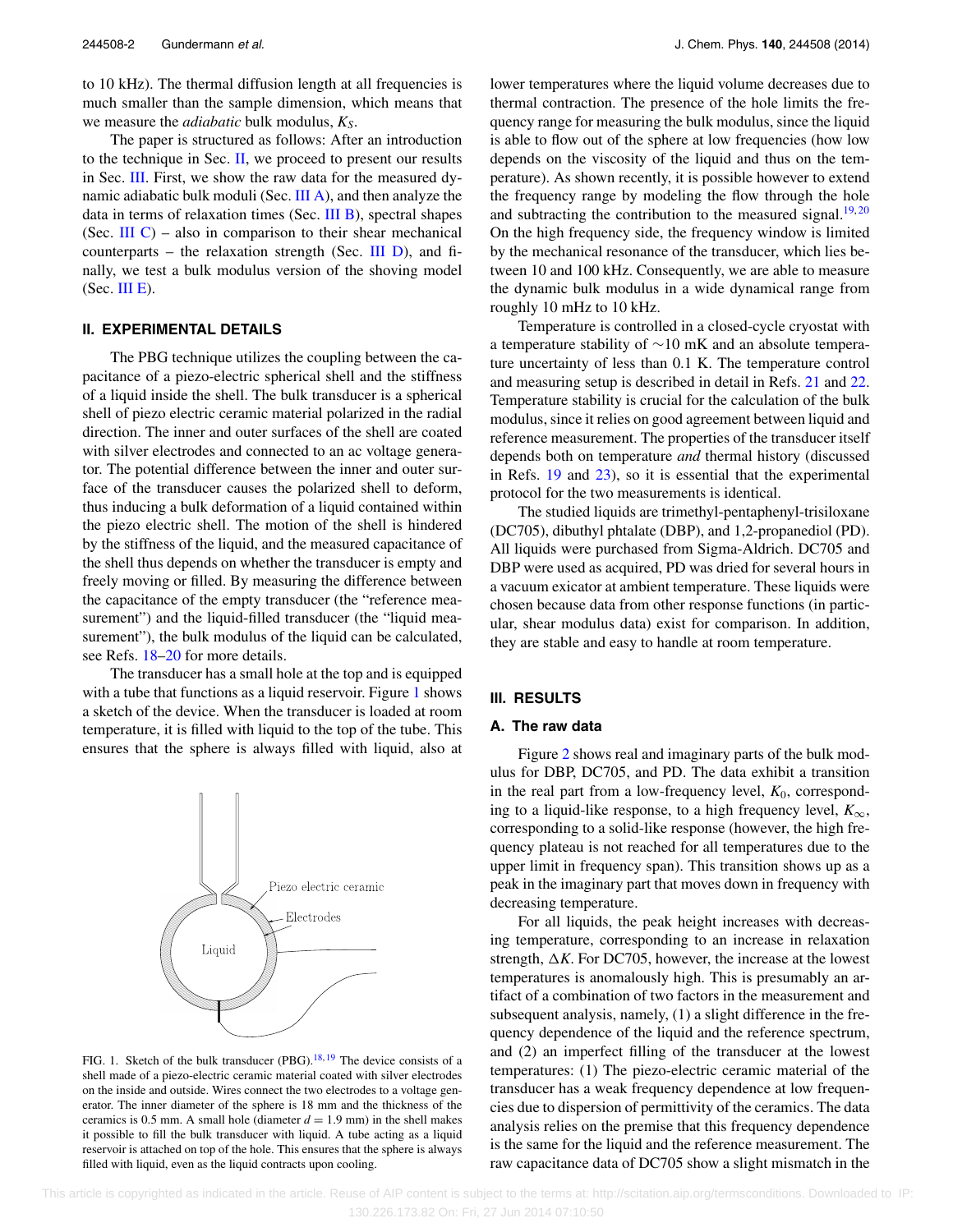to 10 kHz). The thermal diffusion length at all frequencies is much smaller than the sample dimension, which means that we measure the *adiabatic* bulk modulus, *KS*.

The paper is structured as follows: After an introduction to the technique in Sec.  $II$ , we proceed to present our results in Sec. [III.](#page-1-1) First, we show the raw data for the measured dynamic adiabatic bulk moduli (Sec. III  $\overline{A}$ ), and then analyze the data in terms of relaxation times (Sec. [III B\)](#page-3-0), spectral shapes (Sec. [III C\)](#page-4-0) – also in comparison to their shear mechanical counterparts – the relaxation strength (Sec. [III D\)](#page-5-0), and finally, we test a bulk modulus version of the shoving model  $(Sec. III E).$  $(Sec. III E).$  $(Sec. III E).$ 

## <span id="page-1-0"></span>**II. EXPERIMENTAL DETAILS**

The PBG technique utilizes the coupling between the capacitance of a piezo-electric spherical shell and the stiffness of a liquid inside the shell. The bulk transducer is a spherical shell of piezo electric ceramic material polarized in the radial direction. The inner and outer surfaces of the shell are coated with silver electrodes and connected to an ac voltage generator. The potential difference between the inner and outer surface of the transducer causes the polarized shell to deform, thus inducing a bulk deformation of a liquid contained within the piezo electric shell. The motion of the shell is hindered by the stiffness of the liquid, and the measured capacitance of the shell thus depends on whether the transducer is empty and freely moving or filled. By measuring the difference between the capacitance of the empty transducer (the "reference measurement") and the liquid-filled transducer (the "liquid measurement"), the bulk modulus of the liquid can be calculated, see Refs. [18](#page-7-14)[–20](#page-7-15) for more details.

The transducer has a small hole at the top and is equipped with a tube that functions as a liquid reservoir. Figure [1](#page-1-3) shows a sketch of the device. When the transducer is loaded at room temperature, it is filled with liquid to the top of the tube. This ensures that the sphere is always filled with liquid, also at

<span id="page-1-3"></span>

FIG. 1. Sketch of the bulk transducer  $(PBG)$ .<sup>[18,](#page-7-14) [19](#page-7-16)</sup> The device consists of a shell made of a piezo-electric ceramic material coated with silver electrodes on the inside and outside. Wires connect the two electrodes to a voltage generator. The inner diameter of the sphere is 18 mm and the thickness of the ceramics is 0.5 mm. A small hole (diameter  $d = 1.9$  mm) in the shell makes it possible to fill the bulk transducer with liquid. A tube acting as a liquid reservoir is attached on top of the hole. This ensures that the sphere is always filled with liquid, even as the liquid contracts upon cooling.

lower temperatures where the liquid volume decreases due to thermal contraction. The presence of the hole limits the frequency range for measuring the bulk modulus, since the liquid is able to flow out of the sphere at low frequencies (how low depends on the viscosity of the liquid and thus on the temperature). As shown recently, it is possible however to extend the frequency range by modeling the flow through the hole and subtracting the contribution to the measured signal. $19,20$  $19,20$ On the high frequency side, the frequency window is limited by the mechanical resonance of the transducer, which lies between 10 and 100 kHz. Consequently, we are able to measure the dynamic bulk modulus in a wide dynamical range from roughly 10 mHz to 10 kHz.

Temperature is controlled in a closed-cycle cryostat with a temperature stability of ∼10 mK and an absolute temperature uncertainty of less than 0.1 K. The temperature control and measuring setup is described in detail in Refs. [21](#page-7-17) and [22.](#page-7-18) Temperature stability is crucial for the calculation of the bulk modulus, since it relies on good agreement between liquid and reference measurement. The properties of the transducer itself depends both on temperature *and* thermal history (discussed in Refs. [19](#page-7-16) and [23\)](#page-7-19), so it is essential that the experimental protocol for the two measurements is identical.

The studied liquids are trimethyl-pentaphenyl-trisiloxane (DC705), dibuthyl phtalate (DBP), and 1,2-propanediol (PD). All liquids were purchased from Sigma-Aldrich. DC705 and DBP were used as acquired, PD was dried for several hours in a vacuum exicator at ambient temperature. These liquids were chosen because data from other response functions (in particular, shear modulus data) exist for comparison. In addition, they are stable and easy to handle at room temperature.

#### <span id="page-1-2"></span><span id="page-1-1"></span>**III. RESULTS**

## **A. The raw data**

Figure [2](#page-2-0) shows real and imaginary parts of the bulk modulus for DBP, DC705, and PD. The data exhibit a transition in the real part from a low-frequency level,  $K_0$ , corresponding to a liquid-like response, to a high frequency level,  $K_{\infty}$ , corresponding to a solid-like response (however, the high frequency plateau is not reached for all temperatures due to the upper limit in frequency span). This transition shows up as a peak in the imaginary part that moves down in frequency with decreasing temperature.

For all liquids, the peak height increases with decreasing temperature, corresponding to an increase in relaxation strength,  $\Delta K$ . For DC705, however, the increase at the lowest temperatures is anomalously high. This is presumably an artifact of a combination of two factors in the measurement and subsequent analysis, namely, (1) a slight difference in the frequency dependence of the liquid and the reference spectrum, and (2) an imperfect filling of the transducer at the lowest temperatures: (1) The piezo-electric ceramic material of the transducer has a weak frequency dependence at low frequencies due to dispersion of permittivity of the ceramics. The data analysis relies on the premise that this frequency dependence is the same for the liquid and the reference measurement. The raw capacitance data of DC705 show a slight mismatch in the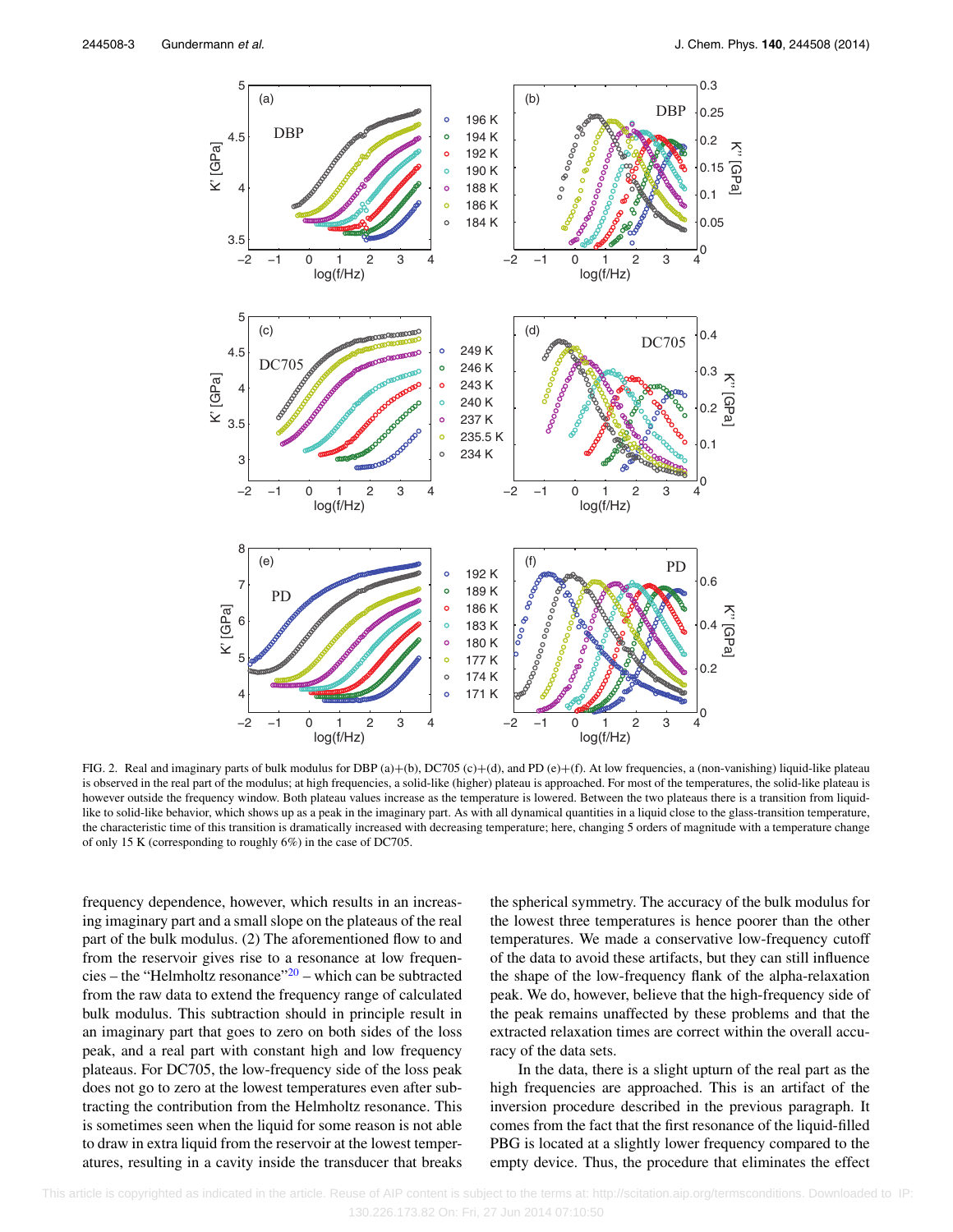<span id="page-2-0"></span>

FIG. 2. Real and imaginary parts of bulk modulus for DBP (a)+(b), DC705 (c)+(d), and PD (e)+(f). At low frequencies, a (non-vanishing) liquid-like plateau is observed in the real part of the modulus; at high frequencies, a solid-like (higher) plateau is approached. For most of the temperatures, the solid-like plateau is however outside the frequency window. Both plateau values increase as the temperature is lowered. Between the two plateaus there is a transition from liquidlike to solid-like behavior, which shows up as a peak in the imaginary part. As with all dynamical quantities in a liquid close to the glass-transition temperature, the characteristic time of this transition is dramatically increased with decreasing temperature; here, changing 5 orders of magnitude with a temperature change of only 15 K (corresponding to roughly 6%) in the case of DC705.

frequency dependence, however, which results in an increasing imaginary part and a small slope on the plateaus of the real part of the bulk modulus. (2) The aforementioned flow to and from the reservoir gives rise to a resonance at low frequencies – the "Helmholtz resonance"<sup>20</sup> – which can be subtracted from the raw data to extend the frequency range of calculated bulk modulus. This subtraction should in principle result in an imaginary part that goes to zero on both sides of the loss peak, and a real part with constant high and low frequency plateaus. For DC705, the low-frequency side of the loss peak does not go to zero at the lowest temperatures even after subtracting the contribution from the Helmholtz resonance. This is sometimes seen when the liquid for some reason is not able to draw in extra liquid from the reservoir at the lowest temperatures, resulting in a cavity inside the transducer that breaks

the spherical symmetry. The accuracy of the bulk modulus for the lowest three temperatures is hence poorer than the other temperatures. We made a conservative low-frequency cutoff of the data to avoid these artifacts, but they can still influence the shape of the low-frequency flank of the alpha-relaxation peak. We do, however, believe that the high-frequency side of the peak remains unaffected by these problems and that the extracted relaxation times are correct within the overall accuracy of the data sets.

In the data, there is a slight upturn of the real part as the high frequencies are approached. This is an artifact of the inversion procedure described in the previous paragraph. It comes from the fact that the first resonance of the liquid-filled PBG is located at a slightly lower frequency compared to the empty device. Thus, the procedure that eliminates the effect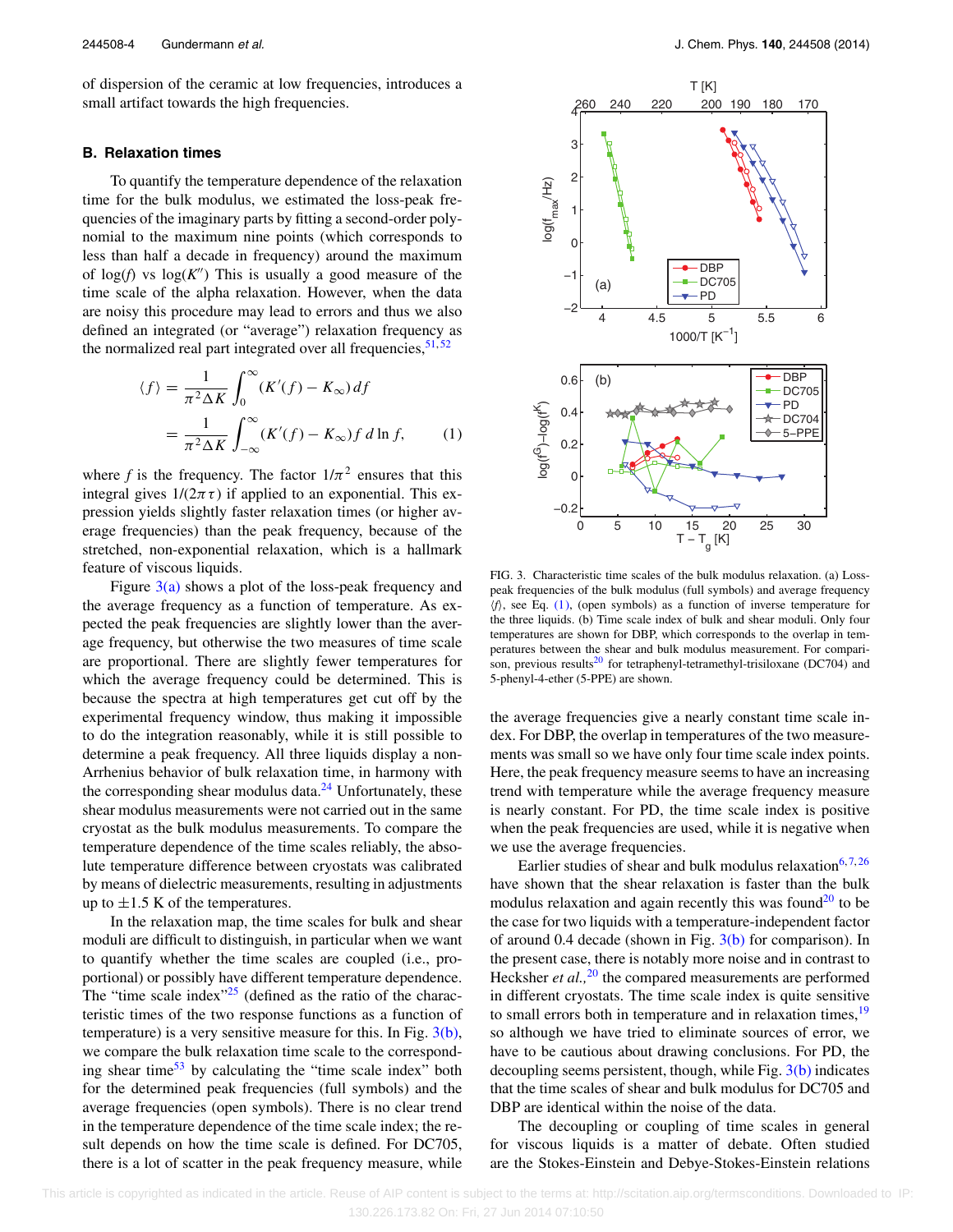of dispersion of the ceramic at low frequencies, introduces a small artifact towards the high frequencies.

# <span id="page-3-0"></span>**B. Relaxation times**

To quantify the temperature dependence of the relaxation time for the bulk modulus, we estimated the loss-peak frequencies of the imaginary parts by fitting a second-order polynomial to the maximum nine points (which corresponds to less than half a decade in frequency) around the maximum of  $log(f)$  vs  $log(K'')$  This is usually a good measure of the time scale of the alpha relaxation. However, when the data are noisy this procedure may lead to errors and thus we also defined an integrated (or "average") relaxation frequency as the normalized real part integrated over all frequencies,  $51, 52$  $51, 52$ 

$$
\langle f \rangle = \frac{1}{\pi^2 \Delta K} \int_0^\infty (K'(f) - K_\infty) \, df
$$
\n
$$
= \frac{1}{\pi^2 \Delta K} \int_{-\infty}^\infty (K'(f) - K_\infty) f \, d \ln f,\tag{1}
$$

where *f* is the frequency. The factor  $1/\pi^2$  ensures that this integral gives  $1/(2\pi \tau)$  if applied to an exponential. This expression yields slightly faster relaxation times (or higher average frequencies) than the peak frequency, because of the stretched, non-exponential relaxation, which is a hallmark feature of viscous liquids.

Figure  $3(a)$  shows a plot of the loss-peak frequency and the average frequency as a function of temperature. As expected the peak frequencies are slightly lower than the average frequency, but otherwise the two measures of time scale are proportional. There are slightly fewer temperatures for which the average frequency could be determined. This is because the spectra at high temperatures get cut off by the experimental frequency window, thus making it impossible to do the integration reasonably, while it is still possible to determine a peak frequency. All three liquids display a non-Arrhenius behavior of bulk relaxation time, in harmony with the corresponding shear modulus data. $^{24}$  Unfortunately, these shear modulus measurements were not carried out in the same cryostat as the bulk modulus measurements. To compare the temperature dependence of the time scales reliably, the absolute temperature difference between cryostats was calibrated by means of dielectric measurements, resulting in adjustments up to  $\pm 1.5$  K of the temperatures.

In the relaxation map, the time scales for bulk and shear moduli are difficult to distinguish, in particular when we want to quantify whether the time scales are coupled (i.e., proportional) or possibly have different temperature dependence. The "time scale index" $25$  (defined as the ratio of the characteristic times of the two response functions as a function of temperature) is a very sensitive measure for this. In Fig.  $3(b)$ , we compare the bulk relaxation time scale to the corresponding shear time<sup>53</sup> by calculating the "time scale index" both for the determined peak frequencies (full symbols) and the average frequencies (open symbols). There is no clear trend in the temperature dependence of the time scale index; the result depends on how the time scale is defined. For DC705, there is a lot of scatter in the peak frequency measure, while

<span id="page-3-1"></span>

<span id="page-3-2"></span>FIG. 3. Characteristic time scales of the bulk modulus relaxation. (a) Losspeak frequencies of the bulk modulus (full symbols) and average frequency  $\langle f \rangle$ , see Eq. [\(1\),](#page-3-2) (open symbols) as a function of inverse temperature for the three liquids. (b) Time scale index of bulk and shear moduli. Only four temperatures are shown for DBP, which corresponds to the overlap in temperatures between the shear and bulk modulus measurement. For comparison, previous results<sup>20</sup> for tetraphenyl-tetramethyl-trisiloxane (DC704) and 5-phenyl-4-ether (5-PPE) are shown.

the average frequencies give a nearly constant time scale index. For DBP, the overlap in temperatures of the two measurements was small so we have only four time scale index points. Here, the peak frequency measure seems to have an increasing trend with temperature while the average frequency measure is nearly constant. For PD, the time scale index is positive when the peak frequencies are used, while it is negative when we use the average frequencies.

Earlier studies of shear and bulk modulus relaxation<sup>[6,](#page-7-4)[7,](#page-7-25)[26](#page-7-26)</sup> have shown that the shear relaxation is faster than the bulk modulus relaxation and again recently this was found<sup>20</sup> to be the case for two liquids with a temperature-independent factor of around 0.4 decade (shown in Fig.  $3(b)$  for comparison). In the present case, there is notably more noise and in contrast to Hecksher *et al.*,<sup>[20](#page-7-15)</sup> the compared measurements are performed in different cryostats. The time scale index is quite sensitive to small errors both in temperature and in relaxation times, <sup>[19](#page-7-16)</sup> so although we have tried to eliminate sources of error, we have to be cautious about drawing conclusions. For PD, the decoupling seems persistent, though, while Fig. [3\(b\)](#page-3-1) indicates that the time scales of shear and bulk modulus for DC705 and DBP are identical within the noise of the data.

The decoupling or coupling of time scales in general for viscous liquids is a matter of debate. Often studied are the Stokes-Einstein and Debye-Stokes-Einstein relations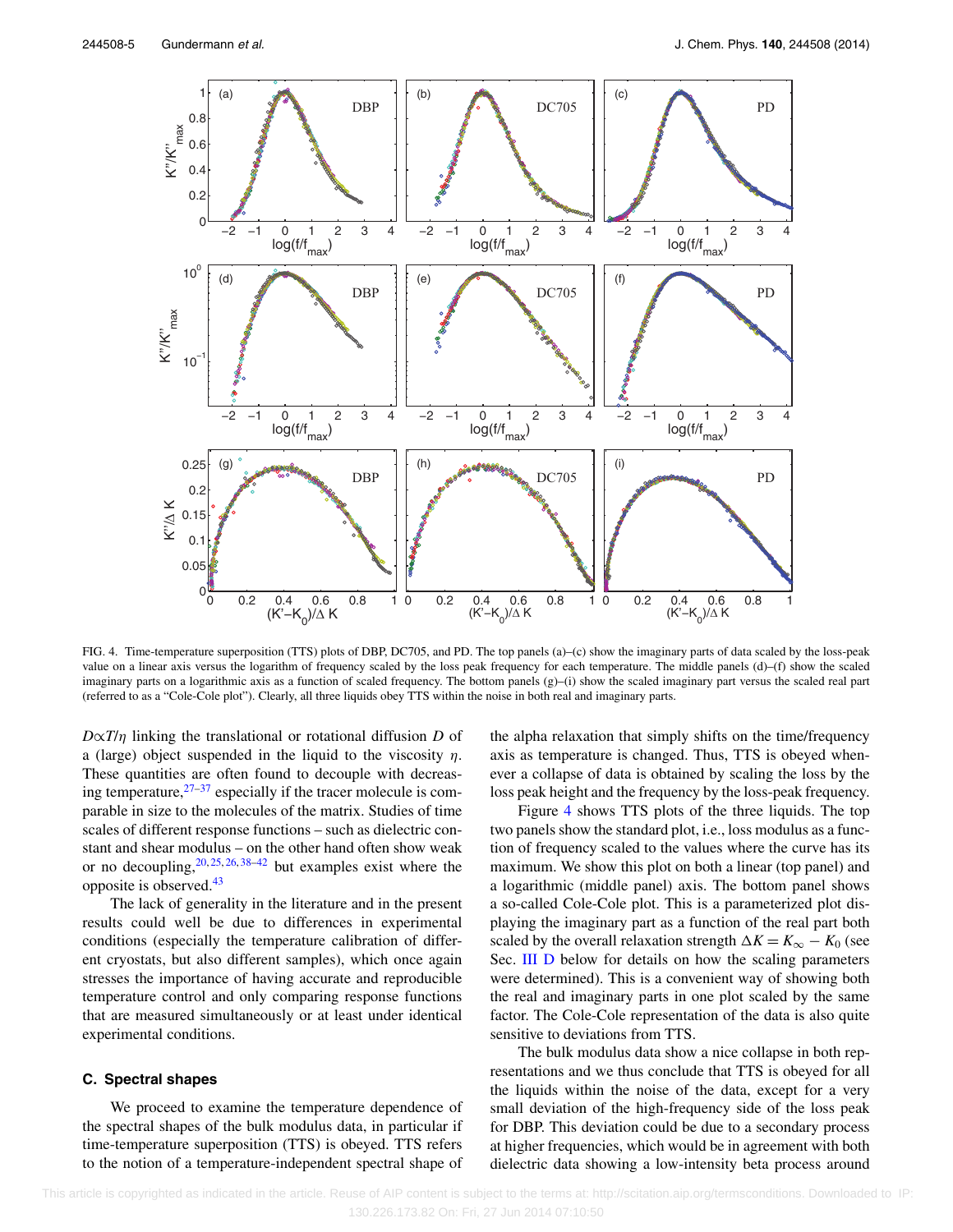<span id="page-4-1"></span>

FIG. 4. Time-temperature superposition (TTS) plots of DBP, DC705, and PD. The top panels (a)–(c) show the imaginary parts of data scaled by the loss-peak value on a linear axis versus the logarithm of frequency scaled by the loss peak frequency for each temperature. The middle panels (d)–(f) show the scaled imaginary parts on a logarithmic axis as a function of scaled frequency. The bottom panels (g)–(i) show the scaled imaginary part versus the scaled real part (referred to as a "Cole-Cole plot"). Clearly, all three liquids obey TTS within the noise in both real and imaginary parts.

*D*∝*T*/*η* linking the translational or rotational diffusion *D* of a (large) object suspended in the liquid to the viscosity *η*. These quantities are often found to decouple with decreasing temperature, $27-37$  $27-37$  especially if the tracer molecule is comparable in size to the molecules of the matrix. Studies of time scales of different response functions – such as dielectric constant and shear modulus – on the other hand often show weak or no decoupling,  $20, 25, 26, 38-42$  $20, 25, 26, 38-42$  $20, 25, 26, 38-42$  $20, 25, 26, 38-42$  $20, 25, 26, 38-42$  $20, 25, 26, 38-42$  $20, 25, 26, 38-42$  but examples exist where the opposite is observed[.43](#page-7-31)

The lack of generality in the literature and in the present results could well be due to differences in experimental conditions (especially the temperature calibration of different cryostats, but also different samples), which once again stresses the importance of having accurate and reproducible temperature control and only comparing response functions that are measured simultaneously or at least under identical experimental conditions.

## <span id="page-4-0"></span>**C. Spectral shapes**

We proceed to examine the temperature dependence of the spectral shapes of the bulk modulus data, in particular if time-temperature superposition (TTS) is obeyed. TTS refers to the notion of a temperature-independent spectral shape of the alpha relaxation that simply shifts on the time/frequency axis as temperature is changed. Thus, TTS is obeyed whenever a collapse of data is obtained by scaling the loss by the loss peak height and the frequency by the loss-peak frequency.

Figure [4](#page-4-1) shows TTS plots of the three liquids. The top two panels show the standard plot, i.e., loss modulus as a function of frequency scaled to the values where the curve has its maximum. We show this plot on both a linear (top panel) and a logarithmic (middle panel) axis. The bottom panel shows a so-called Cole-Cole plot. This is a parameterized plot displaying the imaginary part as a function of the real part both scaled by the overall relaxation strength  $\Delta K = K_{\infty} - K_0$  (see Sec. [III D](#page-5-0) below for details on how the scaling parameters were determined). This is a convenient way of showing both the real and imaginary parts in one plot scaled by the same factor. The Cole-Cole representation of the data is also quite sensitive to deviations from TTS.

The bulk modulus data show a nice collapse in both representations and we thus conclude that TTS is obeyed for all the liquids within the noise of the data, except for a very small deviation of the high-frequency side of the loss peak for DBP. This deviation could be due to a secondary process at higher frequencies, which would be in agreement with both dielectric data showing a low-intensity beta process around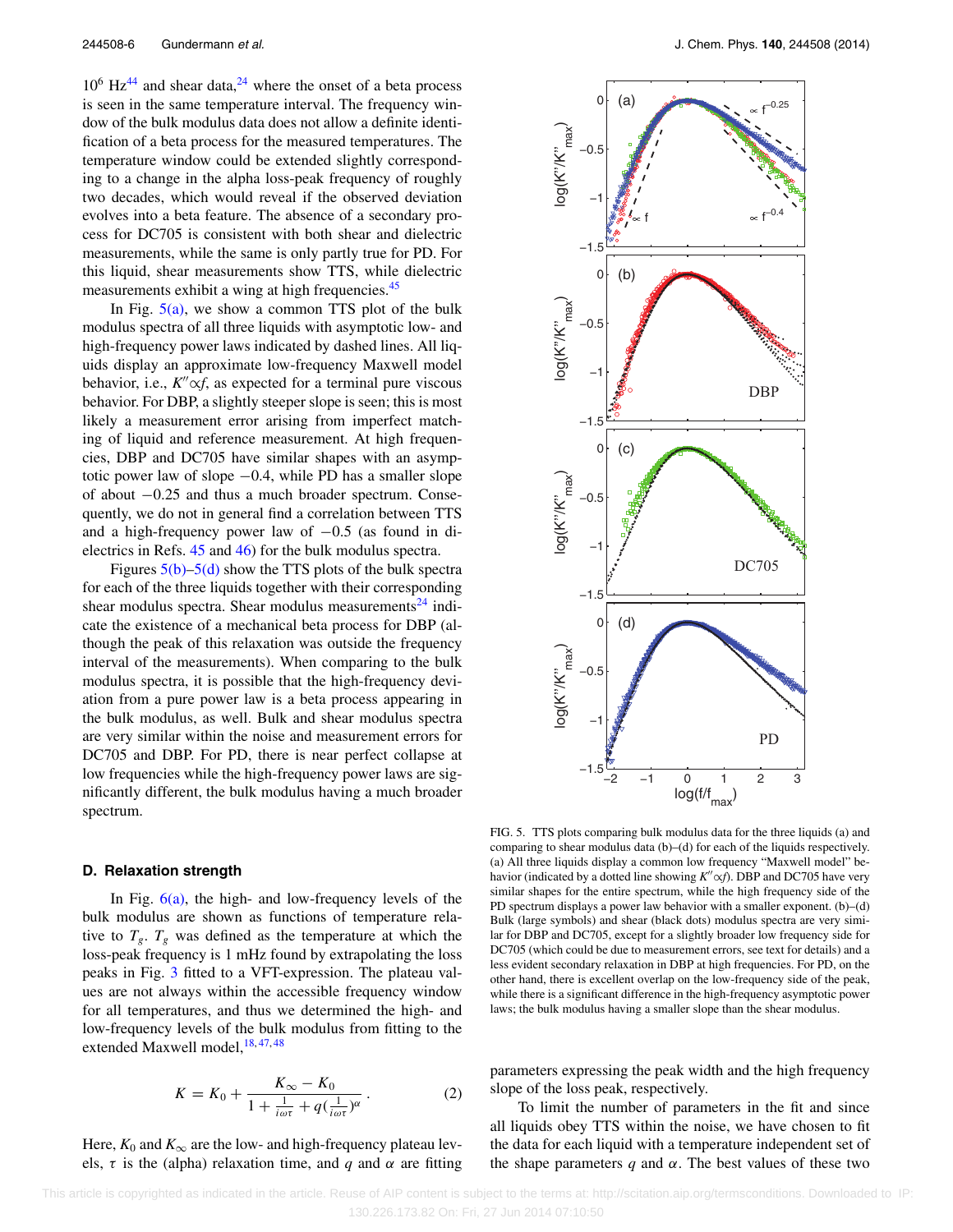$10^6$  Hz<sup>44</sup> and shear data,  $^{24}$  $^{24}$  $^{24}$  where the onset of a beta process is seen in the same temperature interval. The frequency window of the bulk modulus data does not allow a definite identification of a beta process for the measured temperatures. The temperature window could be extended slightly corresponding to a change in the alpha loss-peak frequency of roughly two decades, which would reveal if the observed deviation evolves into a beta feature. The absence of a secondary process for DC705 is consistent with both shear and dielectric measurements, while the same is only partly true for PD. For this liquid, shear measurements show TTS, while dielectric measurements exhibit a wing at high frequencies.<sup>[45](#page-7-33)</sup>

In Fig.  $5(a)$ , we show a common TTS plot of the bulk modulus spectra of all three liquids with asymptotic low- and high-frequency power laws indicated by dashed lines. All liquids display an approximate low-frequency Maxwell model behavior, i.e.,  $K'' \propto f$ , as expected for a terminal pure viscous behavior. For DBP, a slightly steeper slope is seen; this is most likely a measurement error arising from imperfect matching of liquid and reference measurement. At high frequencies, DBP and DC705 have similar shapes with an asymptotic power law of slope −0.4, while PD has a smaller slope of about −0.25 and thus a much broader spectrum. Consequently, we do not in general find a correlation between TTS and a high-frequency power law of −0.5 (as found in dielectrics in Refs. [45](#page-7-33) and [46\)](#page-7-34) for the bulk modulus spectra.

Figures  $5(b)$ – $5(d)$  show the TTS plots of the bulk spectra for each of the three liquids together with their corresponding shear modulus spectra. Shear modulus measurements $^{24}$  indicate the existence of a mechanical beta process for DBP (although the peak of this relaxation was outside the frequency interval of the measurements). When comparing to the bulk modulus spectra, it is possible that the high-frequency deviation from a pure power law is a beta process appearing in the bulk modulus, as well. Bulk and shear modulus spectra are very similar within the noise and measurement errors for DC705 and DBP. For PD, there is near perfect collapse at low frequencies while the high-frequency power laws are significantly different, the bulk modulus having a much broader spectrum.

### <span id="page-5-0"></span>**D. Relaxation strength**

In Fig.  $6(a)$ , the high- and low-frequency levels of the bulk modulus are shown as functions of temperature relative to  $T_g$ .  $T_g$  was defined as the temperature at which the loss-peak frequency is 1 mHz found by extrapolating the loss peaks in Fig. [3](#page-3-1) fitted to a VFT-expression. The plateau values are not always within the accessible frequency window for all temperatures, and thus we determined the high- and low-frequency levels of the bulk modulus from fitting to the extended Maxwell model, <sup>[18,](#page-7-14) [47,](#page-7-35) [48](#page-7-36)</sup>

<span id="page-5-2"></span>
$$
K = K_0 + \frac{K_{\infty} - K_0}{1 + \frac{1}{i\omega\tau} + q(\frac{1}{i\omega\tau})^{\alpha}}.
$$
 (2)

Here,  $K_0$  and  $K_\infty$  are the low- and high-frequency plateau levels,  $\tau$  is the (alpha) relaxation time, and *q* and  $\alpha$  are fitting

<span id="page-5-1"></span>

FIG. 5. TTS plots comparing bulk modulus data for the three liquids (a) and comparing to shear modulus data (b)–(d) for each of the liquids respectively. (a) All three liquids display a common low frequency "Maxwell model" behavior (indicated by a dotted line showing *K*∝*f*). DBP and DC705 have very similar shapes for the entire spectrum, while the high frequency side of the PD spectrum displays a power law behavior with a smaller exponent. (b)–(d) Bulk (large symbols) and shear (black dots) modulus spectra are very similar for DBP and DC705, except for a slightly broader low frequency side for DC705 (which could be due to measurement errors, see text for details) and a less evident secondary relaxation in DBP at high frequencies. For PD, on the other hand, there is excellent overlap on the low-frequency side of the peak, while there is a significant difference in the high-frequency asymptotic power laws; the bulk modulus having a smaller slope than the shear modulus.

parameters expressing the peak width and the high frequency slope of the loss peak, respectively.

To limit the number of parameters in the fit and since all liquids obey TTS within the noise, we have chosen to fit the data for each liquid with a temperature independent set of the shape parameters  $q$  and  $\alpha$ . The best values of these two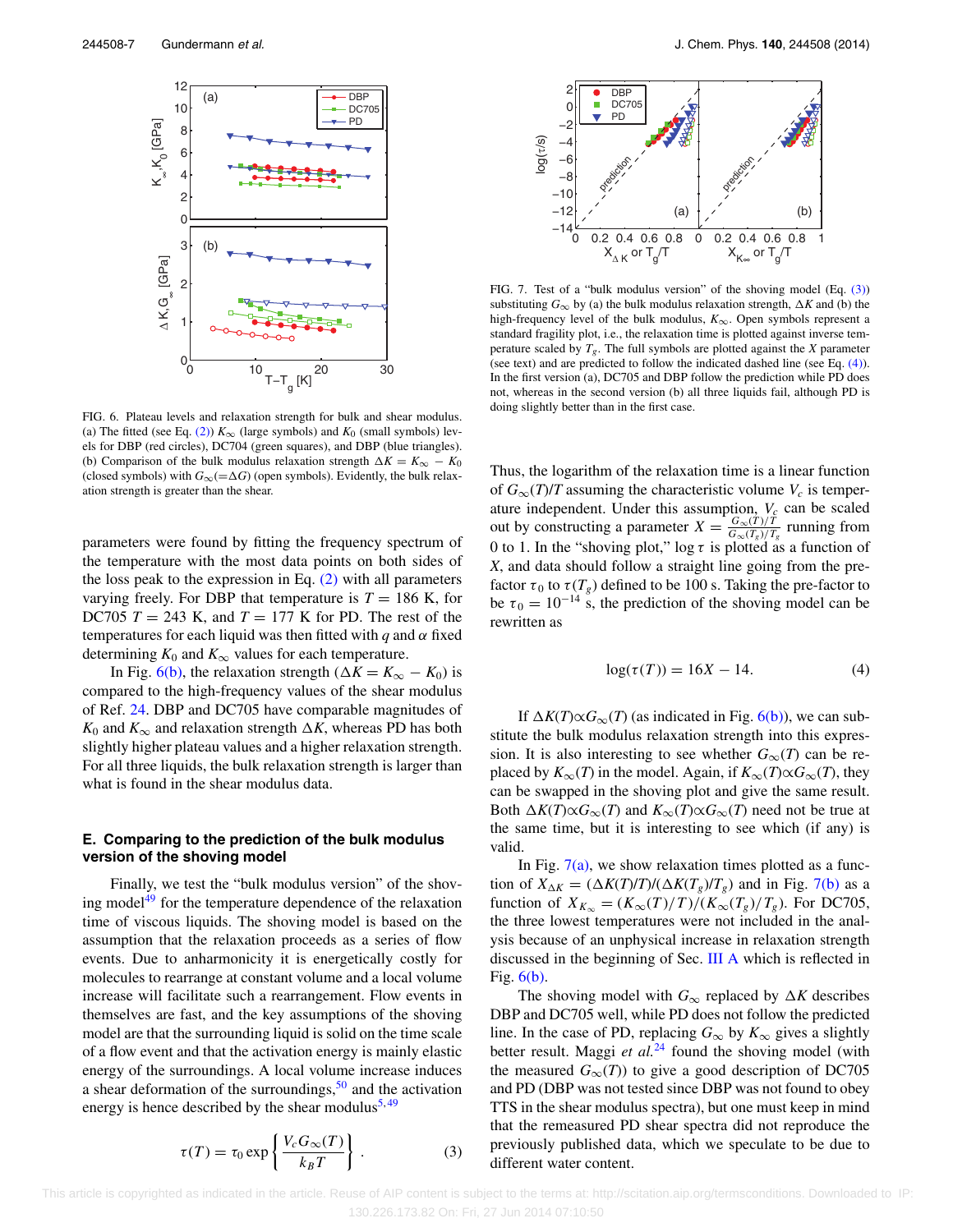<span id="page-6-1"></span>

FIG. 6. Plateau levels and relaxation strength for bulk and shear modulus. (a) The fitted (see Eq. [\(2\)\)](#page-5-2)  $K_{\infty}$  (large symbols) and  $K_0$  (small symbols) levels for DBP (red circles), DC704 (green squares), and DBP (blue triangles). (b) Comparison of the bulk modulus relaxation strength  $\Delta K = K_{\infty} - K_0$ (closed symbols) with  $G_{\infty} (= \Delta G)$  (open symbols). Evidently, the bulk relaxation strength is greater than the shear.

parameters were found by fitting the frequency spectrum of the temperature with the most data points on both sides of the loss peak to the expression in Eq.  $(2)$  with all parameters varying freely. For DBP that temperature is  $T = 186$  K, for DC705  $T = 243$  K, and  $T = 177$  K for PD. The rest of the temperatures for each liquid was then fitted with *q* and *α* fixed determining  $K_0$  and  $K_\infty$  values for each temperature.

In Fig. [6\(b\),](#page-6-1) the relaxation strength ( $\Delta K = K_{\infty} - K_0$ ) is compared to the high-frequency values of the shear modulus of Ref. [24.](#page-7-22) DBP and DC705 have comparable magnitudes of  $K_0$  and  $K_\infty$  and relaxation strength  $\Delta K$ , whereas PD has both slightly higher plateau values and a higher relaxation strength. For all three liquids, the bulk relaxation strength is larger than what is found in the shear modulus data.

## <span id="page-6-0"></span>**E. Comparing to the prediction of the bulk modulus version of the shoving model**

Finally, we test the "bulk modulus version" of the shoving model $49$  for the temperature dependence of the relaxation time of viscous liquids. The shoving model is based on the assumption that the relaxation proceeds as a series of flow events. Due to anharmonicity it is energetically costly for molecules to rearrange at constant volume and a local volume increase will facilitate such a rearrangement. Flow events in themselves are fast, and the key assumptions of the shoving model are that the surrounding liquid is solid on the time scale of a flow event and that the activation energy is mainly elastic energy of the surroundings. A local volume increase induces a shear deformation of the surroundings,  $50$  and the activation energy is hence described by the shear modulus<sup>[5,](#page-7-3)[49](#page-7-37)</sup>

$$
\tau(T) = \tau_0 \exp\left\{\frac{V_c G_{\infty}(T)}{k_B T}\right\}.
$$
 (3)

<span id="page-6-4"></span>

FIG. 7. Test of a "bulk modulus version" of the shoving model (Eq. [\(3\)\)](#page-6-2) substituting  $G_{\infty}$  by (a) the bulk modulus relaxation strength,  $\Delta K$  and (b) the high-frequency level of the bulk modulus, *K*∞. Open symbols represent a standard fragility plot, i.e., the relaxation time is plotted against inverse temperature scaled by  $T_g$ . The full symbols are plotted against the *X* parameter (see text) and are predicted to follow the indicated dashed line (see Eq. [\(4\)\)](#page-6-3). In the first version (a), DC705 and DBP follow the prediction while PD does not, whereas in the second version (b) all three liquids fail, although PD is doing slightly better than in the first case.

Thus, the logarithm of the relaxation time is a linear function of  $G_{\infty}(T)/T$  assuming the characteristic volume  $V_c$  is temperature independent. Under this assumption,  $V_c$  can be scaled out by constructing a parameter  $X = \frac{G_{\infty}(T)/T}{G_{\infty}(T_g)/T_g}$  running from 0 to 1. In the "shoving plot," log *τ* is plotted as a function of *X*, and data should follow a straight line going from the prefactor  $\tau_0$  to  $\tau(T_g)$  defined to be 100 s. Taking the pre-factor to be  $\tau_0 = 10^{-14}$  s, the prediction of the shoving model can be rewritten as

<span id="page-6-3"></span>
$$
log(\tau(T)) = 16X - 14.
$$
 (4)

If  $\Delta K(T) \propto G_{\infty}(T)$  (as indicated in Fig. [6\(b\)\)](#page-6-1), we can substitute the bulk modulus relaxation strength into this expression. It is also interesting to see whether  $G_{\infty}(T)$  can be replaced by  $K_{\infty}(T)$  in the model. Again, if  $K_{\infty}(T) \propto G_{\infty}(T)$ , they can be swapped in the shoving plot and give the same result. Both  $\Delta K(T) \propto G_{\infty}(T)$  and  $K_{\infty}(T) \propto G_{\infty}(T)$  need not be true at the same time, but it is interesting to see which (if any) is valid.

In Fig.  $7(a)$ , we show relaxation times plotted as a function of  $X_{\Delta K} = (\Delta K(T)/T)/(\Delta K(T_g)/T_g)$  and in Fig. [7\(b\)](#page-6-4) as a function of  $X_{K_{\infty}} = (K_{\infty}(T)/T)/(K_{\infty}(T_g)/T_g)$ . For DC705, the three lowest temperatures were not included in the analysis because of an unphysical increase in relaxation strength discussed in the beginning of Sec. [III A](#page-1-2) which is reflected in Fig. [6\(b\).](#page-6-1)

<span id="page-6-2"></span>The shoving model with  $G_{\infty}$  replaced by  $\Delta K$  describes DBP and DC705 well, while PD does not follow the predicted line. In the case of PD, replacing  $G_{\infty}$  by  $K_{\infty}$  gives a slightly better result. Maggi et al.<sup>[24](#page-7-22)</sup> found the shoving model (with the measured  $G_{\infty}(T)$ ) to give a good description of DC705 and PD (DBP was not tested since DBP was not found to obey TTS in the shear modulus spectra), but one must keep in mind that the remeasured PD shear spectra did not reproduce the previously published data, which we speculate to be due to different water content.